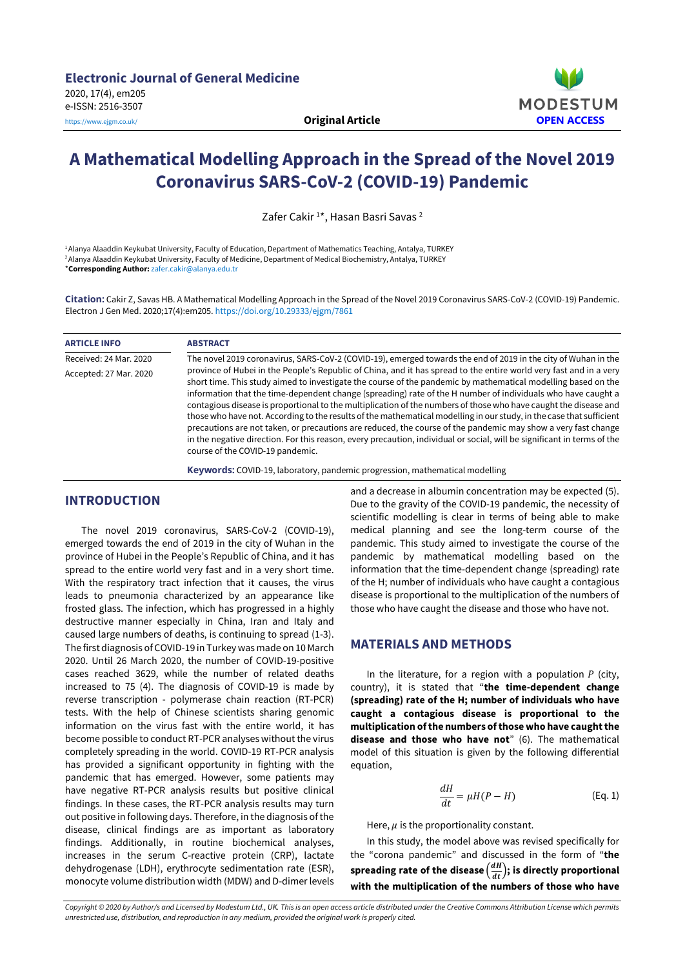

# **A Mathematical Modelling Approach in the Spread of the Novel 2019 Coronavirus SARS-CoV-2 (COVID-19) Pandemic**

Zafer Cakir <sup>1</sup>\*, Hasan Basri Savas <sup>2</sup>

<sup>1</sup>Alanya Alaaddin Keykubat University, Faculty of Education, Department of Mathematics Teaching, Antalya, TURKEY <sup>2</sup>Alanya Alaaddin Keykubat University, Faculty of Medicine, Department of Medical Biochemistry, Antalya, TURKEY \***Corresponding Author:** [zafer.cakir@alanya.edu.tr](mailto:zafer.cakir@alanya.edu.tr)

**Citation:** Cakir Z, Savas HB. A Mathematical Modelling Approach in the Spread of the Novel 2019 Coronavirus SARS-CoV-2 (COVID-19) Pandemic. Electron J Gen Med. 2020;17(4):em205. <https://doi.org/10.29333/ejgm/7861>

| <b>ARTICLE INFO</b>    | <b>ABSTRACT</b>                                                                                                                                                                                                                                                                                                                                                                                                                                                                                                                                                                                                                                                                                                                                                                                                                                                                 |
|------------------------|---------------------------------------------------------------------------------------------------------------------------------------------------------------------------------------------------------------------------------------------------------------------------------------------------------------------------------------------------------------------------------------------------------------------------------------------------------------------------------------------------------------------------------------------------------------------------------------------------------------------------------------------------------------------------------------------------------------------------------------------------------------------------------------------------------------------------------------------------------------------------------|
| Received: 24 Mar. 2020 | The novel 2019 coronavirus, SARS-CoV-2 (COVID-19), emerged towards the end of 2019 in the city of Wuhan in the                                                                                                                                                                                                                                                                                                                                                                                                                                                                                                                                                                                                                                                                                                                                                                  |
| Accepted: 27 Mar. 2020 | province of Hubei in the People's Republic of China, and it has spread to the entire world very fast and in a very<br>short time. This study aimed to investigate the course of the pandemic by mathematical modelling based on the<br>information that the time-dependent change (spreading) rate of the H number of individuals who have caught a<br>contagious disease is proportional to the multiplication of the numbers of those who have caught the disease and<br>those who have not. According to the results of the mathematical modelling in our study, in the case that sufficient<br>precautions are not taken, or precautions are reduced, the course of the pandemic may show a very fast change<br>in the negative direction. For this reason, every precaution, individual or social, will be significant in terms of the<br>course of the COVID-19 pandemic. |
|                        | $\mathbf{R}$ and $\mathbf{R}$ and $\mathbf{R}$ and $\mathbf{R}$ and $\mathbf{R}$ and $\mathbf{R}$ and $\mathbf{R}$ and $\mathbf{R}$ and $\mathbf{R}$ and $\mathbf{R}$ and $\mathbf{R}$ and $\mathbf{R}$ and $\mathbf{R}$ and $\mathbf{R}$ and $\mathbf{R}$ and $\mathbf{R}$ and $\mathbf{R}$ and                                                                                                                                                                                                                                                                                                                                                                                                                                                                                                                                                                                |

**Keywords:** COVID-19, laboratory, pandemic progression, mathematical modelling

## **INTRODUCTION**

The novel 2019 coronavirus, SARS-CoV-2 (COVID-19), emerged towards the end of 2019 in the city of Wuhan in the province of Hubei in the People's Republic of China, and it has spread to the entire world very fast and in a very short time. With the respiratory tract infection that it causes, the virus leads to pneumonia characterized by an appearance like frosted glass. The infection, which has progressed in a highly destructive manner especially in China, Iran and Italy and caused large numbers of deaths, is continuing to spread (1-3). The first diagnosis of COVID-19 in Turkey was made on 10March 2020. Until 26 March 2020, the number of COVID-19-positive cases reached 3629, while the number of related deaths increased to 75 (4). The diagnosis of COVID-19 is made by reverse transcription - polymerase chain reaction (RT-PCR) tests. With the help of Chinese scientists sharing genomic information on the virus fast with the entire world, it has become possible to conduct RT-PCR analyses without the virus completely spreading in the world. COVID-19 RT-PCR analysis has provided a significant opportunity in fighting with the pandemic that has emerged. However, some patients may have negative RT-PCR analysis results but positive clinical findings. In these cases, the RT-PCR analysis results may turn out positive in following days. Therefore, in the diagnosis ofthe disease, clinical findings are as important as laboratory findings. Additionally, in routine biochemical analyses, increases in the serum C-reactive protein (CRP), lactate dehydrogenase (LDH), erythrocyte sedimentation rate (ESR), monocyte volume distribution width (MDW) and D-dimer levels

and a decrease in albumin concentration may be expected (5). Due to the gravity of the COVID-19 pandemic, the necessity of scientific modelling is clear in terms of being able to make medical planning and see the long-term course of the pandemic. This study aimed to investigate the course of the pandemic by mathematical modelling based on the information that the time-dependent change (spreading) rate of the H; number of individuals who have caught a contagious disease is proportional to the multiplication of the numbers of those who have caught the disease and those who have not.

#### **MATERIALS AND METHODS**

In the literature, for a region with a population  $P$  (city, country), it is stated that "**the time-dependent change (spreading) rate of the H; number of individuals who have caught a contagious disease is proportional to the multiplication ofthe numbers ofthose who have caughtthe disease and those who have not**" (6). The mathematical model of this situation is given by the following differential equation,

$$
\frac{dH}{dt} = \mu H (P - H) \tag{Eq. 1}
$$

Here,  $\mu$  is the proportionality constant.

In this study, the model above was revised specifically for the "corona pandemic" and discussed in the form of "**the** spreading rate of the disease  $\left(\frac{dH}{dt}\right)$ ; is directly proportional **with the multiplication of the numbers of those who have**

Copyright © 2020 by Author/s and Licensed by Modestum Ltd., UK. This is an open access article distributed under the Creative Commons Attribution License which permits *unrestricted use, distribution, and reproduction in any medium, provided the original work is properly cited.*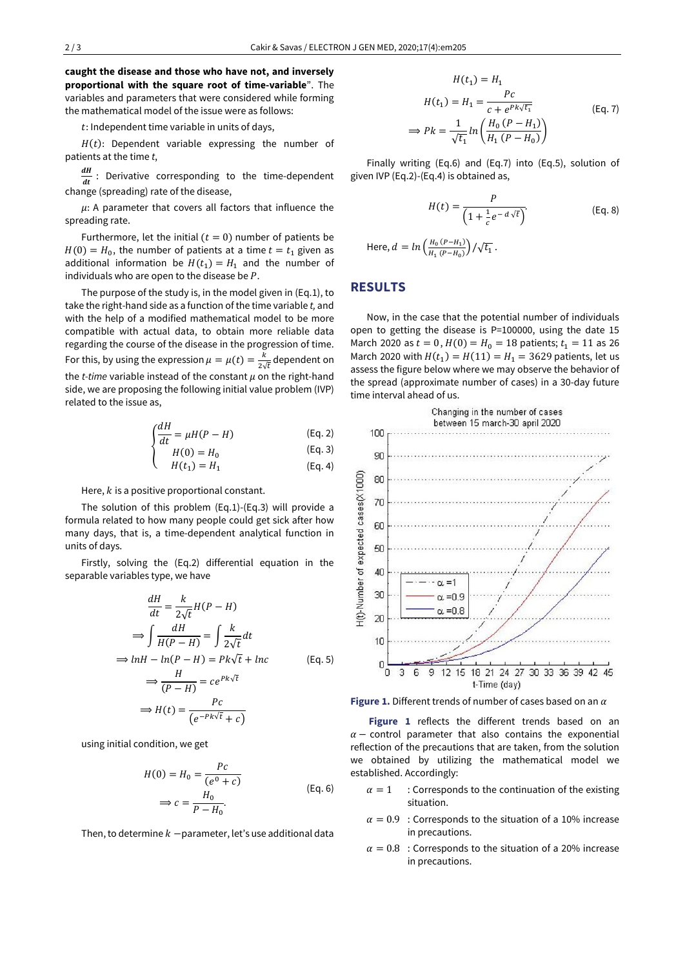**caught the disease and those who have not, and inversely proportional with the square root of time-variable**". The variables and parameters that were considered while forming the mathematical model of the issue were as follows:

: Independent time variable in units of days,

 $H(t)$ : Dependent variable expressing the number of patients at the time *t*,

 $\frac{dH}{dt}$ : Derivative corresponding to the time-dependent change (spreading) rate of the disease,

 $\mu$ : A parameter that covers all factors that influence the spreading rate.

Furthermore, let the initial ( $t = 0$ ) number of patients be  $H(0) = H_0$ , the number of patients at a time  $t = t_1$  given as additional information be  $H(t_1) = H_1$  and the number of individuals who are open to the disease be  $P$ .

The purpose of the study is, in the model given in (Eq.1), to take the right-hand side as a function of the time variable *t,* and with the help of a modified mathematical model to be more compatible with actual data, to obtain more reliable data regarding the course of the disease in the progression of time. For this, by using the expression  $\mu = \mu(t) = \frac{k}{2}$  $\frac{\kappa}{2\sqrt{t}}$ dependent on the *t-time* variable instead of the constant  $\mu$  on the right-hand side, we are proposing the following initial value problem (IVP) related to the issue as,

$$
\int \frac{dH}{dt} = \mu H(P - H) \tag{Eq. 2}
$$

$$
\begin{cases}\n\mu_{1}(0) = H_{0} & \text{(Eq. 3)} \\
H(t_{1}) = H_{1} & \text{(Eq. 4)}\n\end{cases}
$$

Here,  $k$  is a positive proportional constant.

The solution of this problem (Eq.1)-(Eq.3) will provide a formula related to how many people could get sick after how many days, that is, a time-dependent analytical function in units of days.

Firstly, solving the (Eq.2) differential equation in the separable variables type, we have

$$
\frac{dH}{dt} = \frac{k}{2\sqrt{t}}H(P - H)
$$
\n
$$
\implies \int \frac{dH}{H(P - H)} = \int \frac{k}{2\sqrt{t}}dt
$$
\n
$$
\implies \ln H - \ln(P - H) = Pk\sqrt{t} + \ln c \qquad \text{(Eq. 5)}
$$
\n
$$
\implies \frac{H}{(P - H)} = ce^{Pk\sqrt{t}}
$$
\n
$$
\implies H(t) = \frac{Pc}{(e^{-Pk\sqrt{t}} + c)}
$$

using initial condition, we get

$$
H(0) = H_0 = \frac{Pc}{(e^0 + c)}
$$
  
\n
$$
\Rightarrow c = \frac{H_0}{P - H_0}.
$$
 (Eq. 6)

Then, to determine  $k$  -parameter, let's use additional data

$$
H(t_1) = H_1
$$
  
\n
$$
H(t_1) = H_1 = \frac{Pc}{c + e^{Pk\sqrt{t_1}}}
$$
 (Eq. 7)  
\n
$$
\Rightarrow Pk = \frac{1}{\sqrt{t_1}} ln\left(\frac{H_0 (P - H_1)}{H_1 (P - H_0)}\right)
$$

Finally writing (Eq.6) and (Eq.7) into (Eq.5), solution of given IVP (Eq.2)-(Eq.4) is obtained as,

$$
H(t) = \frac{P}{\left(1 + \frac{1}{c}e^{-d\sqrt{t}}\right)}.
$$
\n(Eq. 8)

\nHere, 
$$
d = \ln\left(\frac{H_0(P - H_1)}{H_1(P - H_0)}\right) / \sqrt{t_1}.
$$

#### **RESULTS**

Now, in the case that the potential number of individuals open to getting the disease is P=100000, using the date 15 March 2020 as  $t = 0$ ,  $H(0) = H_0 = 18$  patients;  $t_1 = 11$  as 26 March 2020 with  $H(t_1) = H(11) = H_1 = 3629$  patients, let us assess the figure below where we may observe the behavior of the spread (approximate number of cases) in a 30-day future time interval ahead of us.



**Figure 1.** Different trends of number of cases based on an  $\alpha$ 

**Figure 1** reflects the different trends based on an  $\alpha$  – control parameter that also contains the exponential reflection of the precautions that are taken, from the solution we obtained by utilizing the mathematical model we established. Accordingly:

- $\alpha = 1$  : Corresponds to the continuation of the existing situation.
- $\alpha = 0.9$ : Corresponds to the situation of a 10% increase in precautions.
- $\alpha = 0.8$  : Corresponds to the situation of a 20% increase in precautions.